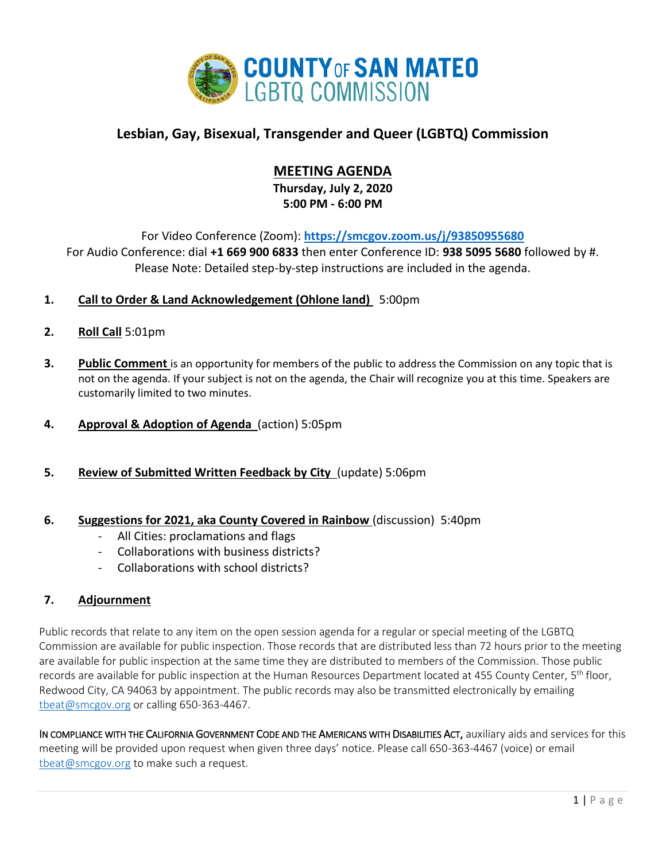

# **Lesbian, Gay, Bisexual, Transgender and Queer (LGBTQ) Commission**

# **MEETING AGENDA**

**Thursday, July 2, 2020 5:00 PM - 6:00 PM**

For Video Conference (Zoom): **<https://smcgov.zoom.us/j/93850955680>** For Audio Conference: dial **+1 669 900 6833** then enter Conference ID: **938 5095 5680** followed by #. Please Note: Detailed step-by-step instructions are included in the agenda.

# **1. Call to Order & Land Acknowledgement (Ohlone land)** 5:00pm

- **2. Roll Call** 5:01pm
- **3. Public Comment** is an opportunity for members of the public to address the Commission on any topic that is not on the agenda. If your subject is not on the agenda, the Chair will recognize you at this time. Speakers are customarily limited to two minutes.
- **4. Approval & Adoption of Agenda** (action) 5:05pm
- **5. Review of Submitted Written Feedback by City** (update) 5:06pm

## **6. Suggestions for 2021, aka County Covered in Rainbow** (discussion) 5:40pm

- All Cities: proclamations and flags
- Collaborations with business districts?
- Collaborations with school districts?

# **7. Adjournment**

Public records that relate to any item on the open session agenda for a regular or special meeting of the LGBTQ Commission are available for public inspection. Those records that are distributed less than 72 hours prior to the meeting are available for public inspection at the same time they are distributed to members of the Commission. Those public records are available for public inspection at the Human Resources Department located at 455 County Center, 5<sup>th</sup> floor, Redwood City, CA 94063 by appointment. The public records may also be transmitted electronically by emailing [tbeat@smcgov.org](mailto:tbeat@smcgov.org) or calling 650-363-4467.

IN COMPLIANCE WITH THE CALIFORNIA GOVERNMENT CODE AND THE AMERICANS WITH DISABILITIES ACT, auxiliary aids and services for this meeting will be provided upon request when given three days' notice. Please call 650-363-4467 (voice) or email [tbeat@smcgov.org](mailto:tbeat@smcgov.org) to make such a request.